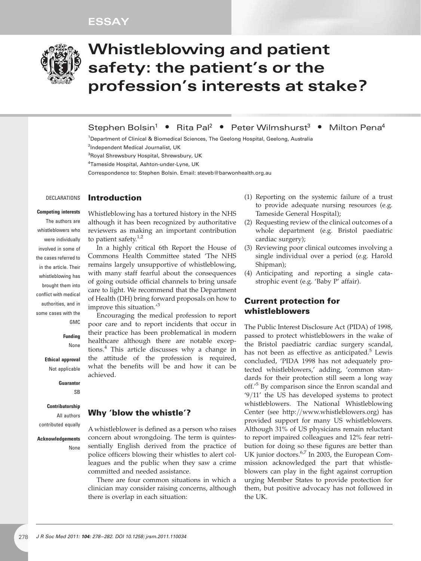

# Whistleblowing and patient safety: the patient's or the profession's interests at stake?

Stephen Bolsin<sup>1</sup> • Rita Pal<sup>2</sup> • Peter Wilmshurst<sup>3</sup> • Milton Pena<sup>4</sup>

<sup>1</sup>Department of Clinical & Biomedical Sciences, The Geelong Hospital, Geelong, Australia

<sup>2</sup>Independent Medical Journalist, UK

3 Royal Shrewsbury Hospital, Shrewsbury, UK

4 Tameside Hospital, Ashton-under-Lyne, UK

Correspondence to: Stephen Bolsin. Email: steveb@barwonhealth.org.au

#### Introduction DECLARATIONS

#### Competing interests

The authors are whistleblowers who were individually involved in some of the cases referred to in the article. Their whistleblowing has brought them into conflict with medical authorities, and in some cases with the GMC

Funding

None

Ethical approval

Not applicable

**Guarantor** 

SB

#### Contributorship

All authors

contributed equally

Acknowledgements None

Whistleblowing has a tortured history in the NHS although it has been recognized by authoritative reviewers as making an important contribution to patient safety. $1,2$ 

In a highly critical 6th Report the House of Commons Health Committee stated 'The NHS remains largely unsupportive of whistleblowing, with many staff fearful about the consequences of going outside official channels to bring unsafe care to light. We recommend that the Department of Health (DH) bring forward proposals on how to improve this situation.'<sup>3</sup>

Encouraging the medical profession to report poor care and to report incidents that occur in their practice has been problematical in modern healthcare although there are notable exceptions.<sup>4</sup> This article discusses why a change in the attitude of the profession is required, what the benefits will be and how it can be achieved.

#### Why 'blow the whistle'?

A whistleblower is defined as a person who raises concern about wrongdoing. The term is quintessentially English derived from the practice of police officers blowing their whistles to alert colleagues and the public when they saw a crime committed and needed assistance.

There are four common situations in which a clinician may consider raising concerns, although there is overlap in each situation:

- (1) Reporting on the systemic failure of a trust to provide adequate nursing resources (e.g. Tameside General Hospital);
- (2) Requesting review of the clinical outcomes of a whole department (e.g. Bristol paediatric cardiac surgery);
- (3) Reviewing poor clinical outcomes involving a single individual over a period (e.g. Harold Shipman);
- (4) Anticipating and reporting a single catastrophic event (e.g. 'Baby P' affair).

### Current protection for whistleblowers

The Public Interest Disclosure Act (PIDA) of 1998, passed to protect whistleblowers in the wake of the Bristol paediatric cardiac surgery scandal, has not been as effective as anticipated. $5$  Lewis concluded, 'PIDA 1998 has not adequately protected whistleblowers,' adding, 'common standards for their protection still seem a long way off.<sup>'5</sup> By comparison since the Enron scandal and '9/11' the US has developed systems to protect whistleblowers. The National Whistleblowing Center (see http://www.whistleblowers.org) has provided support for many US whistleblowers. Although 31% of US physicians remain reluctant to report impaired colleagues and 12% fear retribution for doing so these figures are better than UK junior doctors.<sup>6,7</sup> In 2003, the European Commission acknowledged the part that whistleblowers can play in the fight against corruption urging Member States to provide protection for them, but positive advocacy has not followed in the UK.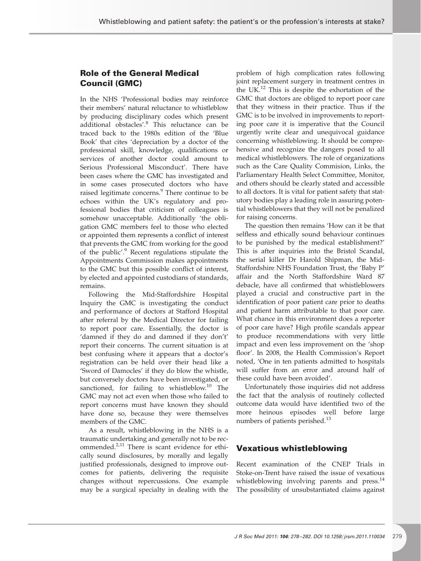## Role of the General Medical Council (GMC)

In the NHS 'Professional bodies may reinforce their members' natural reluctance to whistleblow by producing disciplinary codes which present additional obstacles'.<sup>8</sup> This reluctance can be traced back to the 1980s edition of the 'Blue Book' that cites 'depreciation by a doctor of the professional skill, knowledge, qualifications or services of another doctor could amount to Serious Professional Misconduct'. There have been cases where the GMC has investigated and in some cases prosecuted doctors who have raised legitimate concerns.<sup>9</sup> There continue to be echoes within the UK's regulatory and professional bodies that criticism of colleagues is somehow unacceptable. Additionally 'the obligation GMC members feel to those who elected or appointed them represents a conflict of interest that prevents the GMC from working for the good of the public'.<sup>9</sup> Recent regulations stipulate the Appointments Commission makes appointments to the GMC but this possible conflict of interest, by elected and appointed custodians of standards, remains.

Following the Mid-Staffordshire Hospital Inquiry the GMC is investigating the conduct and performance of doctors at Stafford Hospital after referral by the Medical Director for failing to report poor care. Essentially, the doctor is 'damned if they do and damned if they don't' report their concerns. The current situation is at best confusing where it appears that a doctor's registration can be held over their head like a 'Sword of Damocles' if they do blow the whistle, but conversely doctors have been investigated, or sanctioned, for failing to whistleblow.<sup>10</sup> The GMC may not act even when those who failed to report concerns must have known they should have done so, because they were themselves members of the GMC.

As a result, whistleblowing in the NHS is a traumatic undertaking and generally not to be recommended.<sup>2,11</sup> There is scant evidence for ethically sound disclosures, by morally and legally justified professionals, designed to improve outcomes for patients, delivering the requisite changes without repercussions. One example may be a surgical specialty in dealing with the

problem of high complication rates following joint replacement surgery in treatment centres in the UK.<sup>12</sup> This is despite the exhortation of the GMC that doctors are obliged to report poor care that they witness in their practice. Thus if the GMC is to be involved in improvements to reporting poor care it is imperative that the Council urgently write clear and unequivocal guidance concerning whistleblowing. It should be comprehensive and recognize the dangers posed to all medical whistleblowers. The role of organizations such as the Care Quality Commision, Links, the Parliamentary Health Select Committee, Monitor, and others should be clearly stated and accessible to all doctors. It is vital for patient safety that statutory bodies play a leading role in assuring potential whistleblowers that they will not be penalized for raising concerns.

The question then remains 'How can it be that selfless and ethically sound behaviour continues to be punished by the medical establishment?' This is after inquiries into the Bristol Scandal, the serial killer Dr Harold Shipman, the Mid-Staffordshire NHS Foundation Trust, the 'Baby P' affair and the North Staffordshire Ward 87 debacle, have all confirmed that whistleblowers played a crucial and constructive part in the identification of poor patient care prior to deaths and patient harm attributable to that poor care. What chance in this environment does a reporter of poor care have? High profile scandals appear to produce recommendations with very little impact and even less improvement on the 'shop floor'. In 2008, the Health Commission's Report noted, 'One in ten patients admitted to hospitals will suffer from an error and around half of these could have been avoided'.

Unfortunately those inquiries did not address the fact that the analysis of routinely collected outcome data would have identified two of the more heinous episodes well before large numbers of patients perished.<sup>13</sup>

#### Vexatious whistleblowing

Recent examination of the CNEP Trials in Stoke-on-Trent have raised the issue of vexatious whistleblowing involving parents and press.<sup>14</sup> The possibility of unsubstantiated claims against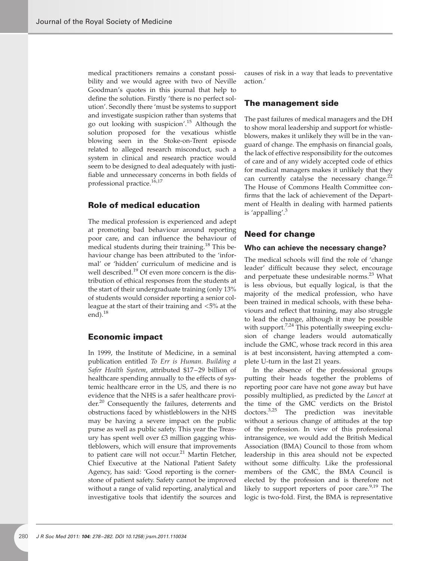medical practitioners remains a constant possibility and we would agree with two of Neville Goodman's quotes in this journal that help to define the solution. Firstly 'there is no perfect solution'. Secondly there 'must be systems to support and investigate suspicion rather than systems that go out looking with suspicion'.<sup>15</sup> Although the solution proposed for the vexatious whistle blowing seen in the Stoke-on-Trent episode related to alleged research misconduct, such a system in clinical and research practice would seem to be designed to deal adequately with justifiable and unnecessary concerns in both fields of professional practice.<sup>16,17</sup>

#### Role of medical education

The medical profession is experienced and adept at promoting bad behaviour around reporting poor care, and can influence the behaviour of medical students during their training.<sup>18</sup> This behaviour change has been attributed to the 'informal' or 'hidden' curriculum of medicine and is well described.<sup>19</sup> Of even more concern is the distribution of ethical responses from the students at the start of their undergraduate training (only 13% of students would consider reporting a senior colleague at the start of their training and <5% at the end). $^{18}$ 

#### Economic impact

In 1999, the Institute of Medicine, in a seminal publication entitled To Err is Human. Building a Safer Health System, attributed \$17-29 billion of healthcare spending annually to the effects of systemic healthcare error in the US, and there is no evidence that the NHS is a safer healthcare provider.<sup>20</sup> Consequently the failures, deterrents and obstructions faced by whistleblowers in the NHS may be having a severe impact on the public purse as well as public safety. This year the Treasury has spent well over £3 million gagging whistleblowers, which will ensure that improvements to patient care will not occur.<sup>21</sup> Martin Fletcher, Chief Executive at the National Patient Safety Agency, has said: 'Good reporting is the cornerstone of patient safety. Safety cannot be improved without a range of valid reporting, analytical and investigative tools that identify the sources and causes of risk in a way that leads to preventative action.'

#### The management side

The past failures of medical managers and the DH to show moral leadership and support for whistleblowers, makes it unlikely they will be in the vanguard of change. The emphasis on financial goals, the lack of effective responsibility for the outcomes of care and of any widely accepted code of ethics for medical managers makes it unlikely that they can currently catalyse the necessary change.<sup>22</sup> The House of Commons Health Committee confirms that the lack of achievement of the Department of Health in dealing with harmed patients is 'appalling'.<sup>3</sup>

#### Need for change

Who can achieve the necessary change? The medical schools will find the role of 'change leader' difficult because they select, encourage and perpetuate these undesirable norms.<sup>23</sup> What is less obvious, but equally logical, is that the majority of the medical profession, who have been trained in medical schools, with these behaviours and reflect that training, may also struggle to lead the change, although it may be possible with support.<sup>7,24</sup> This potentially sweeping exclusion of change leaders would automatically include the GMC, whose track record in this area is at best inconsistent, having attempted a complete U-turn in the last 21 years.

In the absence of the professional groups putting their heads together the problems of reporting poor care have not gone away but have possibly multiplied, as predicted by the Lancet at the time of the GMC verdicts on the Bristol doctors.3,25 The prediction was inevitable without a serious change of attitudes at the top of the profession. In view of this professional intransigence, we would add the British Medical Association (BMA) Council to those from whom leadership in this area should not be expected without some difficulty. Like the professional members of the GMC, the BMA Council is elected by the profession and is therefore not likely to support reporters of poor care. $9,19$  The logic is two-fold. First, the BMA is representative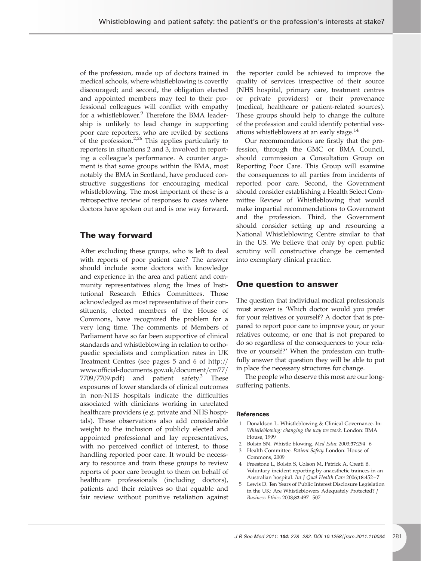of the profession, made up of doctors trained in medical schools, where whistleblowing is covertly discouraged; and second, the obligation elected and appointed members may feel to their professional colleagues will conflict with empathy for a whistleblower.<sup>9</sup> Therefore the BMA leadership is unlikely to lead change in supporting poor care reporters, who are reviled by sections of the profession. $2,26$  This applies particularly to reporters in situations 2 and 3, involved in reporting a colleague's performance. A counter argument is that some groups within the BMA, most notably the BMA in Scotland, have produced constructive suggestions for encouraging medical whistleblowing. The most important of these is a retrospective review of responses to cases where doctors have spoken out and is one way forward.

#### The way forward

After excluding these groups, who is left to deal with reports of poor patient care? The answer should include some doctors with knowledge and experience in the area and patient and community representatives along the lines of Institutional Research Ethics Committees. Those acknowledged as most representative of their constituents, elected members of the House of Commons, have recognized the problem for a very long time. The comments of Members of Parliament have so far been supportive of clinical standards and whistleblowing in relation to orthopaedic specialists and complication rates in UK Treatment Centres (see pages 5 and 6 of http:// www.official-documents.gov.uk/document/cm77/  $7709/7709$ .pdf) and patient safety.<sup>3</sup> These exposures of lower standards of clinical outcomes in non-NHS hospitals indicate the difficulties associated with clinicians working in unrelated healthcare providers (e.g. private and NHS hospitals). These observations also add considerable weight to the inclusion of publicly elected and appointed professional and lay representatives, with no perceived conflict of interest, to those handling reported poor care. It would be necessary to resource and train these groups to review reports of poor care brought to them on behalf of healthcare professionals (including doctors), patients and their relatives so that equable and fair review without punitive retaliation against

the reporter could be achieved to improve the quality of services irrespective of their source (NHS hospital, primary care, treatment centres or private providers) or their provenance (medical, healthcare or patient-related sources). These groups should help to change the culture of the profession and could identify potential vexatious whistleblowers at an early stage.<sup>14</sup>

Our recommendations are firstly that the profession, through the GMC or BMA Council, should commission a Consultation Group on Reporting Poor Care. This Group will examine the consequences to all parties from incidents of reported poor care. Second, the Government should consider establishing a Health Select Committee Review of Whistleblowing that would make impartial recommendations to Government and the profession. Third, the Government should consider setting up and resourcing a National Whistleblowing Centre similar to that in the US. We believe that only by open public scrutiny will constructive change be cemented into exemplary clinical practice.

#### One question to answer

The question that individual medical professionals must answer is 'Which doctor would you prefer for your relatives or yourself? A doctor that is prepared to report poor care to improve your, or your relatives outcome, or one that is not prepared to do so regardless of the consequences to your relative or yourself?' When the profession can truthfully answer that question they will be able to put in place the necessary structures for change.

The people who deserve this most are our longsuffering patients.

#### **References**

- 1 Donaldson L. Whistleblowing & Clinical Governance. In: Whistleblowing: changing the way we work. London: BMA House, 1999
- 2 Bolsin SN. Whistle blowing. Med Educ 2003;37:294-6
- 3 Health Committee. Patient Safety. London: House of Commons, 2009
- 4 Freestone L, Bolsin S, Colson M, Patrick A, Creati B. Voluntary incident reporting by anaesthetic trainees in an Australian hospital. Int J Qual Health Care 2006;18:452-7
- 5 Lewis D. Ten Years of Public Interest Disclosure Legislation in the UK: Are Whistleblowers Adequately Protected? J Business Ethics 2008;82:497 – 507